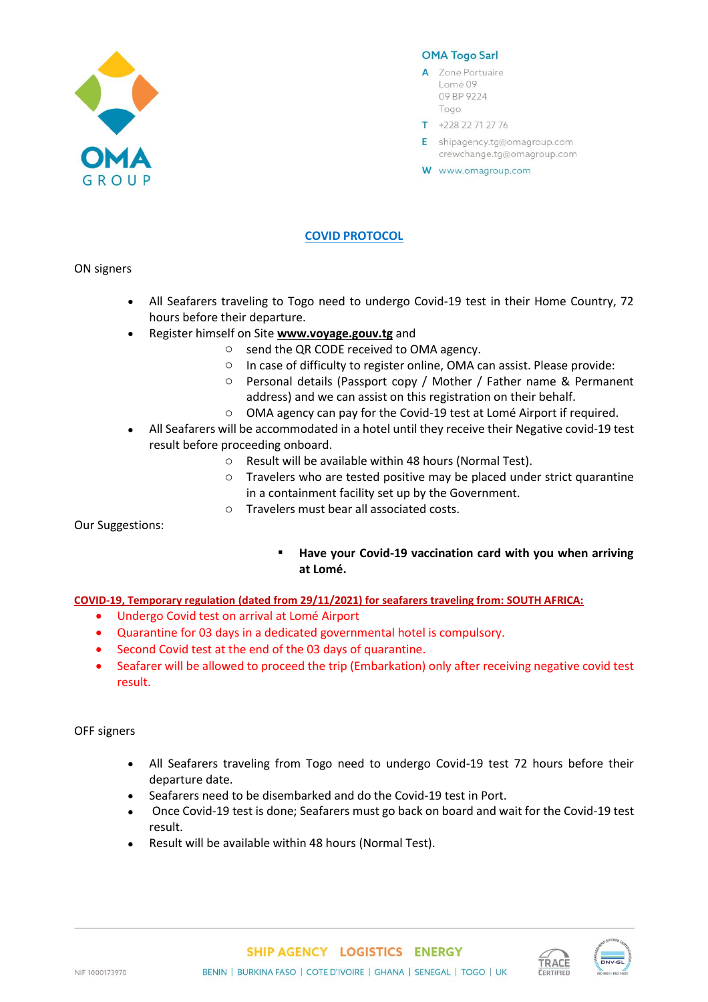

## **OMA Togo Sarl**

- A Zone Portuaire Lomé 09 09 BP 9224 Togo
- $T + 22822712776$
- E shipagency.tg@omagroup.com crewchange.tg@omagroup.com
- W www.omagroup.com

# **COVID PROTOCOL**

ON signers

- All Seafarers traveling to Togo need to undergo Covid-19 test in their Home Country, 72 hours before their departure.
- Register himself on Site **[www.voyage.gouv.tg](http://www.voyage.gouv.tg/)** and
	- o send the QR CODE received to OMA agency.
	- o In case of difficulty to register online, OMA can assist. Please provide:
	- o Personal details (Passport copy / Mother / Father name & Permanent address) and we can assist on this registration on their behalf.
	- o OMA agency can pay for the Covid-19 test at Lomé Airport if required.
- All Seafarers will be accommodated in a hotel until they receive their Negative covid-19 test result before proceeding onboard.
	- o Result will be available within 48 hours (Normal Test).
	- o Travelers who are tested positive may be placed under strict quarantine in a containment facility set up by the Government.
	- o Travelers must bear all associated costs.

Our Suggestions:

▪ **Have your Covid-19 vaccination card with you when arriving at Lomé.**

#### **COVID-19, Temporary regulation (dated from 29/11/2021) for seafarers traveling from: SOUTH AFRICA:**

- Undergo Covid test on arrival at Lomé Airport
- Quarantine for 03 days in a dedicated governmental hotel is compulsory.
- Second Covid test at the end of the 03 days of quarantine.
- Seafarer will be allowed to proceed the trip (Embarkation) only after receiving negative covid test result.

# OFF signers

- All Seafarers traveling from Togo need to undergo Covid-19 test 72 hours before their departure date.
- Seafarers need to be disembarked and do the Covid-19 test in Port.
- Once Covid-19 test is done; Seafarers must go back on board and wait for the Covid-19 test result.
- Result will be available within 48 hours (Normal Test).